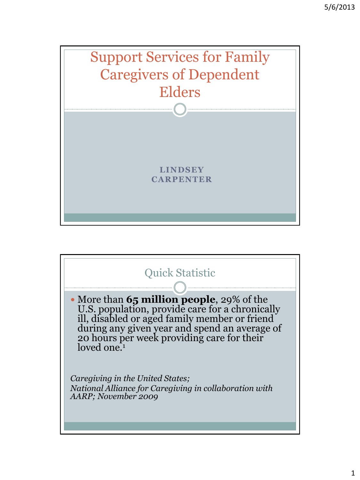

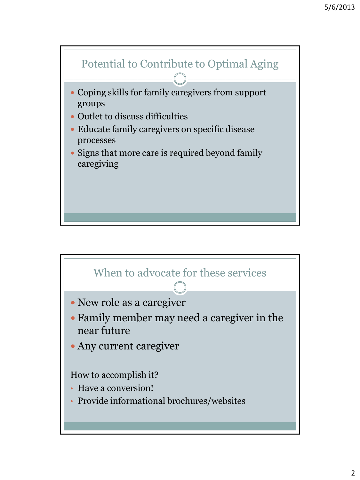

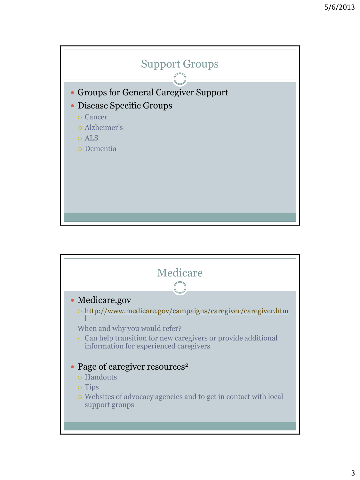

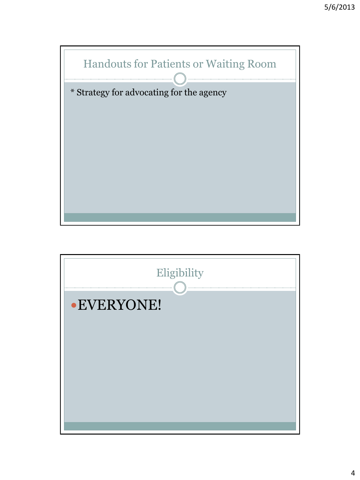

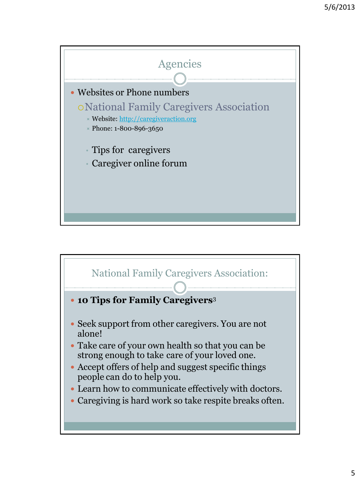

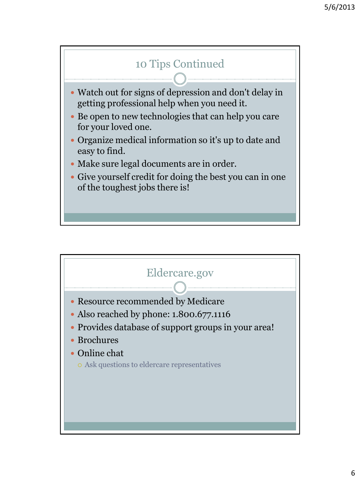

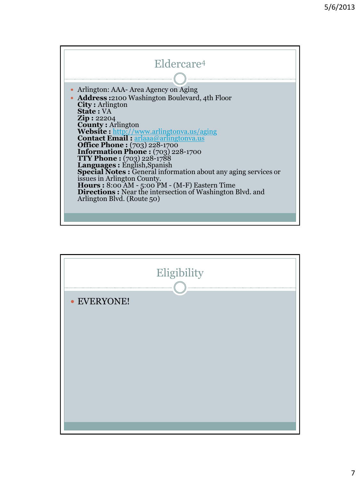

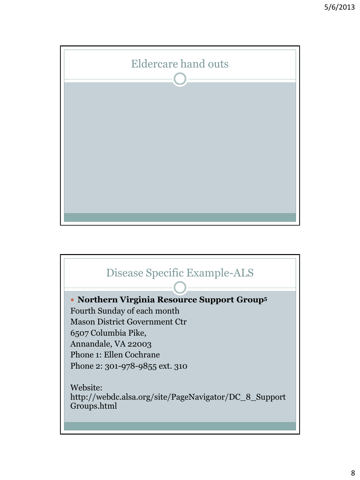